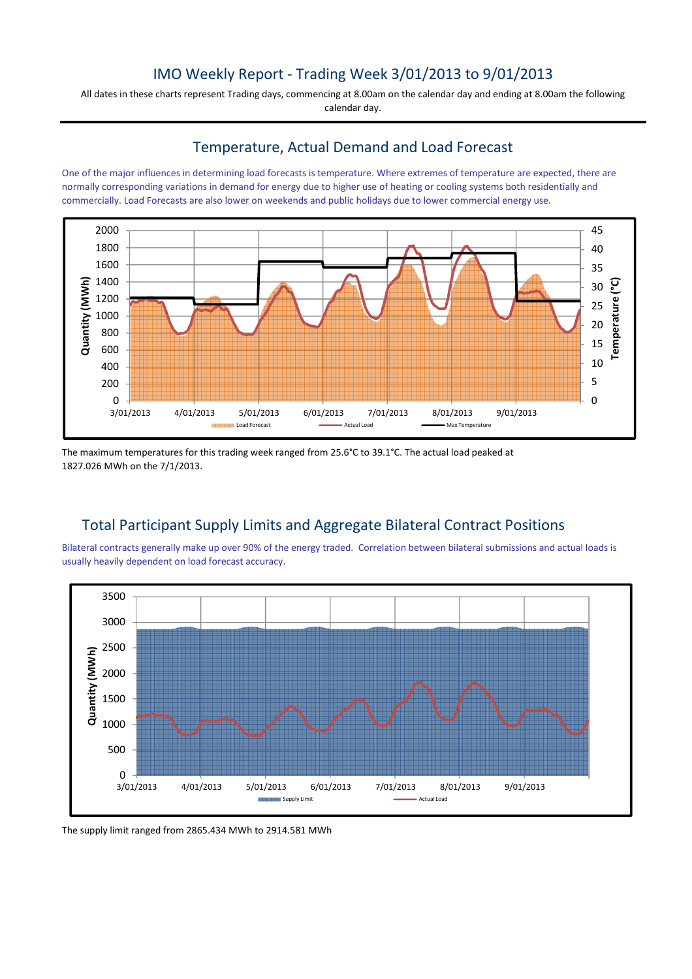## IMO Weekly Report - Trading Week 3/01/2013 to 9/01/2013

All dates in these charts represent Trading days, commencing at 8.00am on the calendar day and ending at 8.00am the following calendar day.

### Temperature, Actual Demand and Load Forecast

One of the major influences in determining load forecasts is temperature. Where extremes of temperature are expected, there are normally corresponding variations in demand for energy due to higher use of heating or cooling systems both residentially and commercially. Load Forecasts are also lower on weekends and public holidays due to lower commercial energy use.



The maximum temperatures for this trading week ranged from 25.6°C to 39.1°C. The actual load peaked at 1827.026 MWh on the 7/1/2013.

## Total Participant Supply Limits and Aggregate Bilateral Contract Positions

Bilateral contracts generally make up over 90% of the energy traded. Correlation between bilateral submissions and actual loads is usually heavily dependent on load forecast accuracy.



The supply limit ranged from 2865.434 MWh to 2914.581 MWh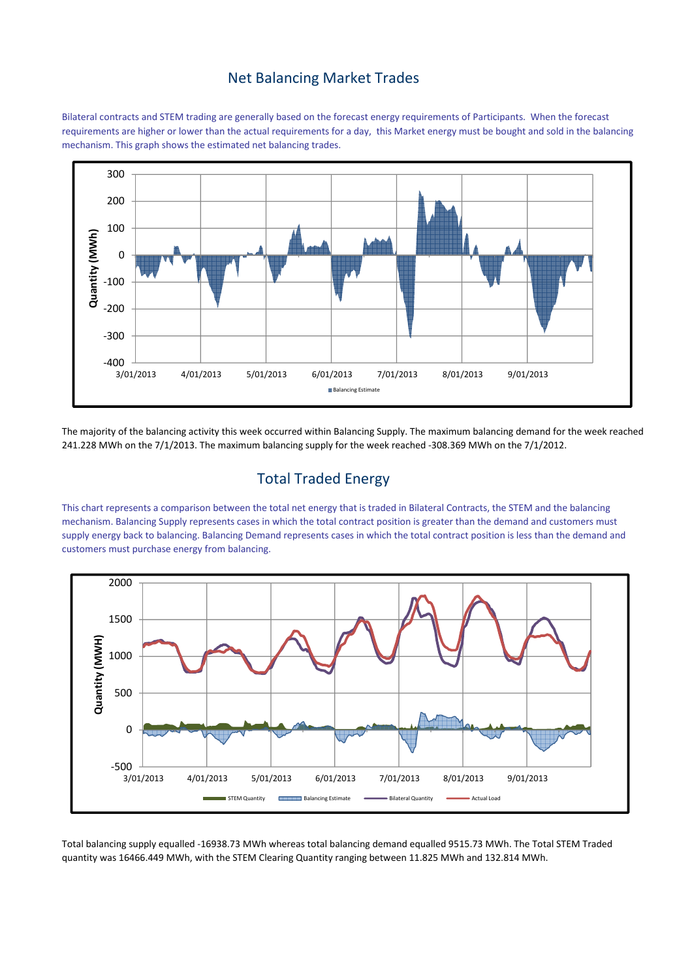### Net Balancing Market Trades

Bilateral contracts and STEM trading are generally based on the forecast energy requirements of Participants. When the forecast requirements are higher or lower than the actual requirements for a day, this Market energy must be bought and sold in the balancing mechanism. This graph shows the estimated net balancing trades.



The majority of the balancing activity this week occurred within Balancing Supply. The maximum balancing demand for the week reached 241.228 MWh on the 7/1/2013. The maximum balancing supply for the week reached -308.369 MWh on the 7/1/2012.

## Total Traded Energy

This chart represents a comparison between the total net energy that is traded in Bilateral Contracts, the STEM and the balancing mechanism. Balancing Supply represents cases in which the total contract position is greater than the demand and customers must supply energy back to balancing. Balancing Demand represents cases in which the total contract position is less than the demand and customers must purchase energy from balancing.



Total balancing supply equalled -16938.73 MWh whereas total balancing demand equalled 9515.73 MWh. The Total STEM Traded quantity was 16466.449 MWh, with the STEM Clearing Quantity ranging between 11.825 MWh and 132.814 MWh.